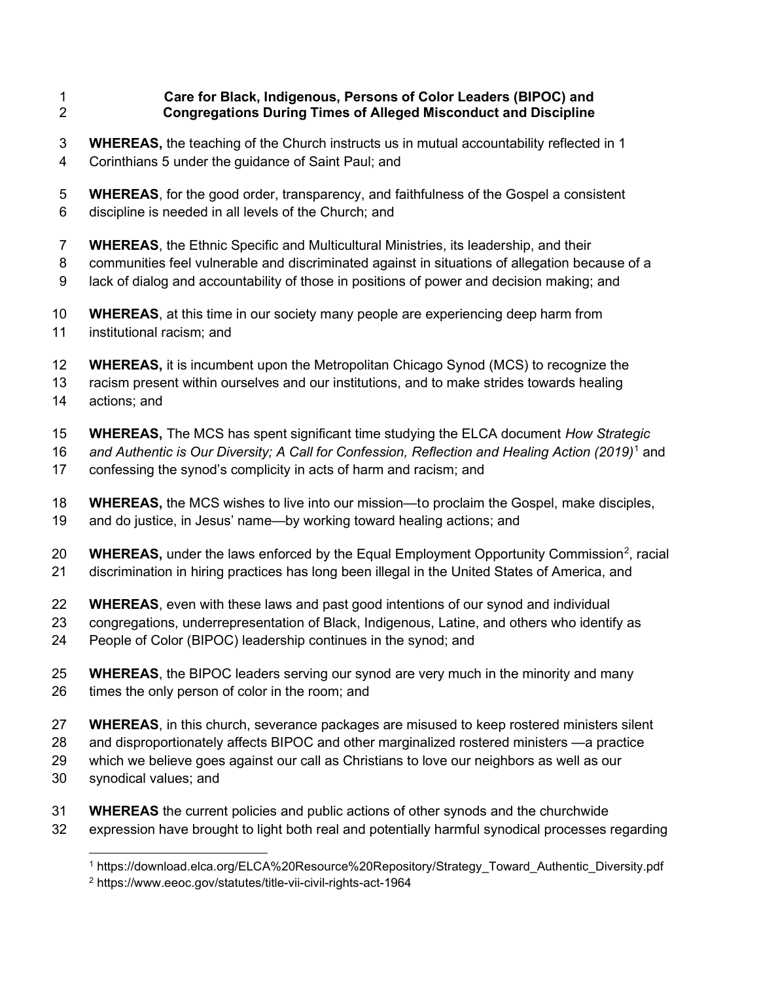## 1 Care for Black, Indigenous, Persons of Color Leaders (BIPOC) and 2 Congregations During Times of Alleged Misconduct and Discipline

- 3 WHEREAS, the teaching of the Church instructs us in mutual accountability reflected in 1 4 Corinthians 5 under the guidance of Saint Paul; and
- 5 WHEREAS, for the good order, transparency, and faithfulness of the Gospel a consistent 6 discipline is needed in all levels of the Church; and
- 7 WHEREAS, the Ethnic Specific and Multicultural Ministries, its leadership, and their
- 8 communities feel vulnerable and discriminated against in situations of allegation because of a
- 9 lack of dialog and accountability of those in positions of power and decision making; and
- 10 WHEREAS, at this time in our society many people are experiencing deep harm from 11 institutional racism; and
- 12 **WHEREAS**, it is incumbent upon the Metropolitan Chicago Synod (MCS) to recognize the
- 13 racism present within ourselves and our institutions, and to make strides towards healing 14 actions; and
- 15 WHEREAS, The MCS has spent significant time studying the ELCA document How Strategic
- 16 and Authentic is Our Diversity; A Call for Confession, Reflection and Healing Action (2019)<sup>1</sup> and
- 17 confessing the synod's complicity in acts of harm and racism; and
- 18 WHEREAS, the MCS wishes to live into our mission—to proclaim the Gospel, make disciples,
- 19 and do justice, in Jesus' name—by working toward healing actions; and
- 20 **WHEREAS,** under the laws enforced by the Equal Employment Opportunity Commission<sup>2</sup>, racial
- 21 discrimination in hiring practices has long been illegal in the United States of America, and
- 22 WHEREAS, even with these laws and past good intentions of our synod and individual
- 23 congregations, underrepresentation of Black, Indigenous, Latine, and others who identify as
- 24 People of Color (BIPOC) leadership continues in the synod; and
- 25 WHEREAS, the BIPOC leaders serving our synod are very much in the minority and many 26 times the only person of color in the room; and
- 27 WHEREAS, in this church, severance packages are misused to keep rostered ministers silent
- 28 and disproportionately affects BIPOC and other marginalized rostered ministers —a practice
- 29 which we believe goes against our call as Christians to love our neighbors as well as our
- 30 synodical values; and
- 31 WHEREAS the current policies and public actions of other synods and the churchwide
- 32 expression have brought to light both real and potentially harmful synodical processes regarding

<sup>1</sup> https://download.elca.org/ELCA%20Resource%20Repository/Strategy\_Toward\_Authentic\_Diversity.pdf

<sup>2</sup> https://www.eeoc.gov/statutes/title-vii-civil-rights-act-1964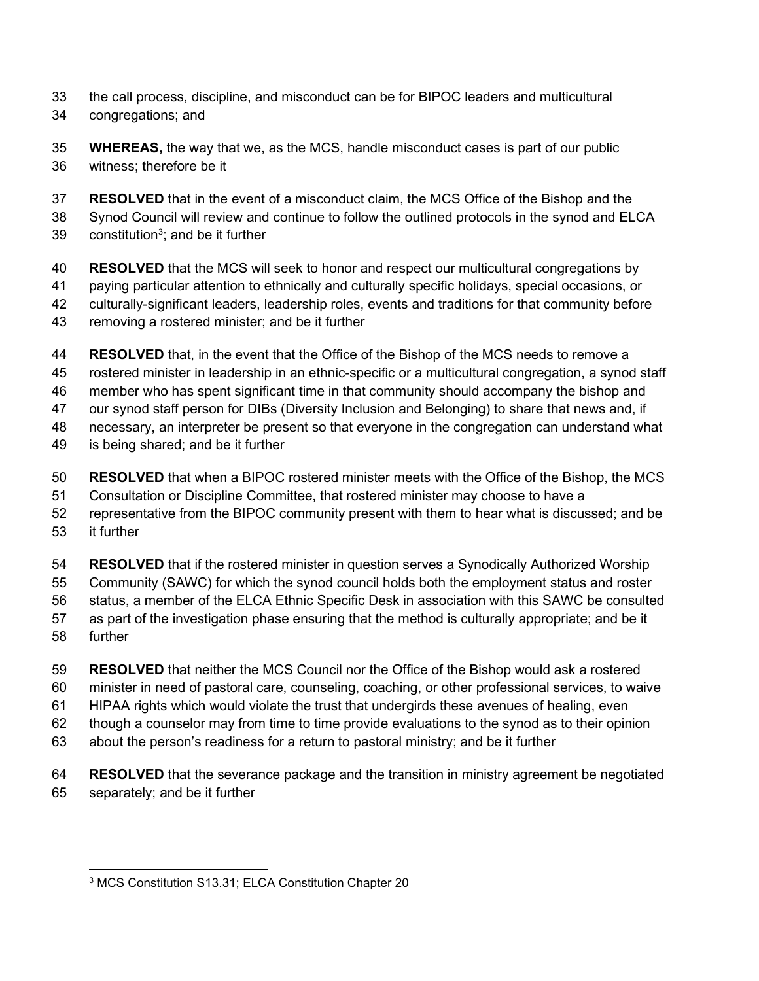- 33 the call process, discipline, and misconduct can be for BIPOC leaders and multicultural
- 34 congregations; and
- 35 WHEREAS, the way that we, as the MCS, handle misconduct cases is part of our public 36 witness; therefore be it
- 37 RESOLVED that in the event of a misconduct claim, the MCS Office of the Bishop and the
- 38 Synod Council will review and continue to follow the outlined protocols in the synod and ELCA
- 39 constitution<sup>3</sup>; and be it further
- 40 RESOLVED that the MCS will seek to honor and respect our multicultural congregations by 41 paying particular attention to ethnically and culturally specific holidays, special occasions, or 42 culturally-significant leaders, leadership roles, events and traditions for that community before 43 removing a rostered minister; and be it further
- 44 RESOLVED that, in the event that the Office of the Bishop of the MCS needs to remove a 45 rostered minister in leadership in an ethnic-specific or a multicultural congregation, a synod staff 46 member who has spent significant time in that community should accompany the bishop and 47 our synod staff person for DIBs (Diversity Inclusion and Belonging) to share that news and, if 48 necessary, an interpreter be present so that everyone in the congregation can understand what 49 is being shared; and be it further
- 50 RESOLVED that when a BIPOC rostered minister meets with the Office of the Bishop, the MCS 51 Consultation or Discipline Committee, that rostered minister may choose to have a
- 52 representative from the BIPOC community present with them to hear what is discussed; and be 53 it further
- 54 RESOLVED that if the rostered minister in question serves a Synodically Authorized Worship
- 55 Community (SAWC) for which the synod council holds both the employment status and roster
- 56 status, a member of the ELCA Ethnic Specific Desk in association with this SAWC be consulted 57 as part of the investigation phase ensuring that the method is culturally appropriate; and be it
- 58 further
- 59 RESOLVED that neither the MCS Council nor the Office of the Bishop would ask a rostered
- 60 minister in need of pastoral care, counseling, coaching, or other professional services, to waive
- 61 HIPAA rights which would violate the trust that undergirds these avenues of healing, even
- 62 though a counselor may from time to time provide evaluations to the synod as to their opinion
- 63 about the person's readiness for a return to pastoral ministry; and be it further
- 64 RESOLVED that the severance package and the transition in ministry agreement be negotiated 65 separately; and be it further

<sup>3</sup> MCS Constitution S13.31; ELCA Constitution Chapter 20